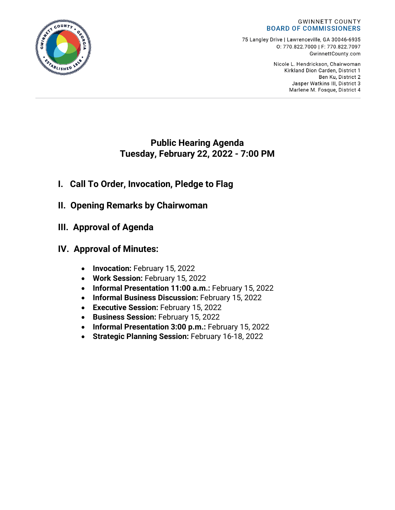#### **GWINNETT COUNTY BOARD OF COMMISSIONERS**

75 Langley Drive | Lawrenceville, GA 30046-6935 0:770.822.7000 | F: 770.822.7097 GwinnettCounty.com

> Nicole L. Hendrickson, Chairwoman Kirkland Dion Carden, District 1 Ben Ku. District 2 Jasper Watkins III, District 3 Marlene M. Fosque, District 4

# **Public Hearing Agenda Tuesday, February 22, 2022 - 7:00 PM**

- **I. Call To Order, Invocation, Pledge to Flag**
- **II. Opening Remarks by Chairwoman**
- **III. Approval of Agenda**
- **IV. Approval of Minutes:**
	- **Invocation:** February 15, 2022
	- **Work Session:** February 15, 2022
	- **Informal Presentation 11:00 a.m.:** February 15, 2022
	- **Informal Business Discussion:** February 15, 2022
	- **Executive Session:** February 15, 2022
	- **Business Session:** February 15, 2022
	- **Informal Presentation 3:00 p.m.:** February 15, 2022
	- **Strategic Planning Session:** February 16-18, 2022

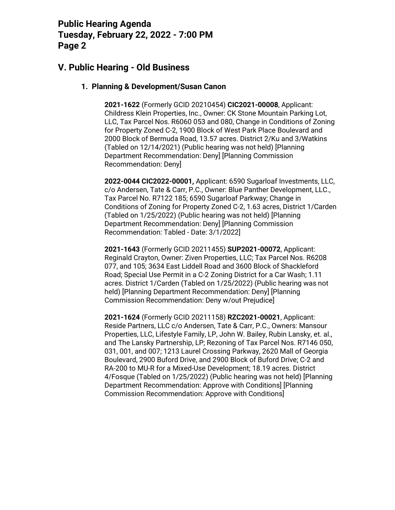### **V. Public Hearing - Old Business**

#### **1. Planning & Development/Susan Canon**

**2021-1622** (Formerly GCID 20210454) **CIC2021-00008**, Applicant: Childress Klein Properties, Inc., Owner: CK Stone Mountain Parking Lot, LLC, Tax Parcel Nos. R6060 053 and 080, Change in Conditions of Zoning for Property Zoned C-2, 1900 Block of West Park Place Boulevard and 2000 Block of Bermuda Road, 13.57 acres. District 2/Ku and 3/Watkins (Tabled on 12/14/2021) (Public hearing was not held) [Planning Department Recommendation: Deny] [Planning Commission Recommendation: Deny]

**2022-0044 CIC2022-00001,** Applicant: 6590 Sugarloaf Investments, LLC, c/o Andersen, Tate & Carr, P.C., Owner: Blue Panther Development, LLC., Tax Parcel No. R7122 185; 6590 Sugarloaf Parkway; Change in Conditions of Zoning for Property Zoned C-2, 1.63 acres, District 1/Carden (Tabled on 1/25/2022) (Public hearing was not held) [Planning Department Recommendation: Deny] [Planning Commission Recommendation: Tabled - Date: 3/1/2022]

**2021-1643** (Formerly GCID 20211455) **SUP2021-00072**, Applicant: Reginald Crayton, Owner: Ziven Properties, LLC; Tax Parcel Nos. R6208 077, and 105; 3634 East Liddell Road and 3600 Block of Shackleford Road; Special Use Permit in a C-2 Zoning District for a Car Wash; 1.11 acres. District 1/Carden (Tabled on 1/25/2022) (Public hearing was not held) [Planning Department Recommendation: Deny] [Planning Commission Recommendation: Deny w/out Prejudice]

**2021-1624** (Formerly GCID 20211158) **RZC2021-00021**, Applicant: Reside Partners, LLC c/o Andersen, Tate & Carr, P.C., Owners: Mansour Properties, LLC, Lifestyle Family, LP, John W. Bailey, Rubin Lansky, et. al., and The Lansky Partnership, LP; Rezoning of Tax Parcel Nos. R7146 050, 031, 001, and 007; 1213 Laurel Crossing Parkway, 2620 Mall of Georgia Boulevard, 2900 Buford Drive, and 2900 Block of Buford Drive; C-2 and RA-200 to MU-R for a Mixed-Use Development; 18.19 acres. District 4/Fosque (Tabled on 1/25/2022) (Public hearing was not held) [Planning Department Recommendation: Approve with Conditions] [Planning Commission Recommendation: Approve with Conditions]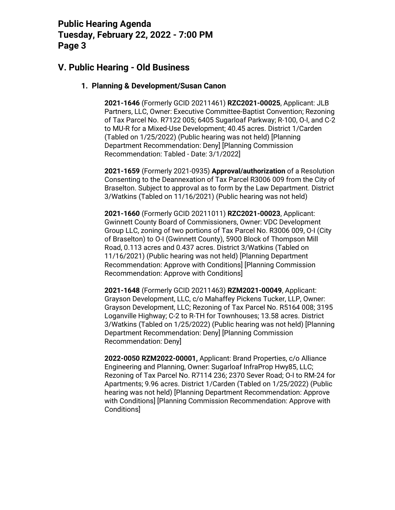## **V. Public Hearing - Old Business**

#### **1. Planning & Development/Susan Canon**

**2021-1646** (Formerly GCID 20211461) **RZC2021-00025**, Applicant: JLB Partners, LLC, Owner: Executive Committee-Baptist Convention; Rezoning of Tax Parcel No. R7122 005; 6405 Sugarloaf Parkway; R-100, O-I, and C-2 to MU-R for a Mixed-Use Development; 40.45 acres. District 1/Carden (Tabled on 1/25/2022) (Public hearing was not held) [Planning Department Recommendation: Deny] [Planning Commission Recommendation: Tabled - Date: 3/1/2022]

**2021-1659** (Formerly 2021-0935) **Approval/authorization** of a Resolution Consenting to the Deannexation of Tax Parcel R3006 009 from the City of Braselton. Subject to approval as to form by the Law Department. District 3/Watkins (Tabled on 11/16/2021) (Public hearing was not held)

**2021-1660** (Formerly GCID 20211011) **RZC2021-00023**, Applicant: Gwinnett County Board of Commissioners, Owner: VDC Development Group LLC, zoning of two portions of Tax Parcel No. R3006 009, O-I (City of Braselton) to O-I (Gwinnett County), 5900 Block of Thompson Mill Road, 0.113 acres and 0.437 acres. District 3/Watkins (Tabled on 11/16/2021) (Public hearing was not held) [Planning Department Recommendation: Approve with Conditions] [Planning Commission Recommendation: Approve with Conditions]

**2021-1648** (Formerly GCID 20211463) **RZM2021-00049**, Applicant: Grayson Development, LLC, c/o Mahaffey Pickens Tucker, LLP, Owner: Grayson Development, LLC; Rezoning of Tax Parcel No. R5164 008; 3195 Loganville Highway; C-2 to R-TH for Townhouses; 13.58 acres. District 3/Watkins (Tabled on 1/25/2022) (Public hearing was not held) [Planning Department Recommendation: Deny] [Planning Commission Recommendation: Deny]

**2022-0050 RZM2022-00001,** Applicant: Brand Properties, c/o Alliance Engineering and Planning, Owner: Sugarloaf InfraProp Hwy85, LLC; Rezoning of Tax Parcel No. R7114 236; 2370 Sever Road; O-I to RM-24 for Apartments; 9.96 acres. District 1/Carden (Tabled on 1/25/2022) (Public hearing was not held) [Planning Department Recommendation: Approve with Conditions] [Planning Commission Recommendation: Approve with Conditions]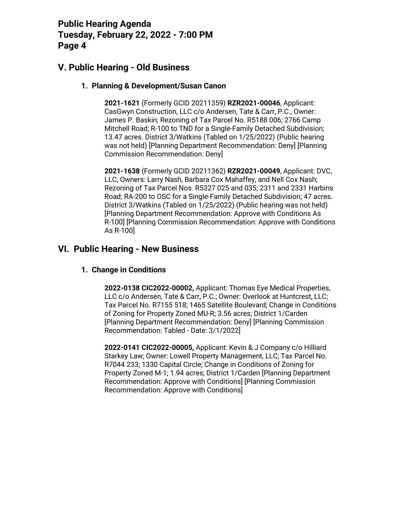## **V. Public Hearing - Old Business**

#### **1. Planning & Development/Susan Canon**

**2021-1621** (Formerly GCID 20211359) **RZR2021-00046**, Applicant: CasGwyn Construction, LLC c/o Andersen, Tate & Carr, P.C., Owner: James P. Baskin; Rezoning of Tax Parcel No. R5188 006; 2766 Camp Mitchell Road; R-100 to TND for a Single-Family Detached Subdivision; 13.47 acres. District 3/Watkins (Tabled on 1/25/2022) (Public hearing was not held) [Planning Department Recommendation: Deny] [Planning Commission Recommendation: Deny]

**2021-1638** (Formerly GCID 20211362) **RZR2021-00049**, Applicant: DVC, LLC, Owners: Larry Nash, Barbara Cox Mahaffey, and Nell Cox Nash; Rezoning of Tax Parcel Nos. R5327 025 and 035; 2311 and 2331 Harbins Road; RA-200 to OSC for a Single-Family Detached Subdivision; 47 acres. District 3/Watkins (Tabled on 1/25/2022) (Public hearing was not held) [Planning Department Recommendation: Approve with Conditions As R-100] [Planning Commission Recommendation: Approve with Conditions As R-100]

### **VI. Public Hearing - New Business**

#### **1. Change in Conditions**

**2022-0138 CIC2022-00002,** Applicant: Thomas Eye Medical Properties, LLC c/o Andersen, Tate & Carr, P.C.; Owner: Overlook at Huntcrest, LLC; Tax Parcel No. R7155 518; 1465 Satellite Boulevard; Change in Conditions of Zoning for Property Zoned MU-R; 3.56 acres; District 1/Carden [Planning Department Recommendation: Deny] [Planning Commission Recommendation: Tabled - Date: 3/1/2022]

**2022-0141 CIC2022-00005,** Applicant: Kevin & J Company c/o Hilliard Starkey Law; Owner: Lowell Property Management, LLC; Tax Parcel No. R7044 233; 1330 Capital Circle; Change in Conditions of Zoning for Property Zoned M-1; 1.94 acres; District 1/Carden [Planning Department Recommendation: Approve with Conditions] [Planning Commission Recommendation: Approve with Conditions]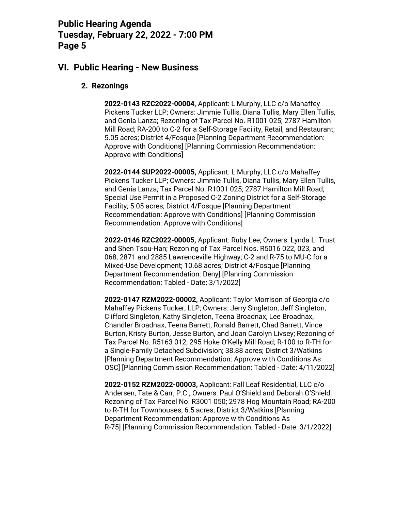### **VI. Public Hearing - New Business**

#### **2. Rezonings**

**2022-0143 RZC2022-00004,** Applicant: L Murphy, LLC c/o Mahaffey Pickens Tucker LLP; Owners: Jimmie Tullis, Diana Tullis, Mary Ellen Tullis, and Genia Lanza; Rezoning of Tax Parcel No. R1001 025; 2787 Hamilton Mill Road; RA-200 to C-2 for a Self-Storage Facility, Retail, and Restaurant; 5.05 acres; District 4/Fosque [Planning Department Recommendation: Approve with Conditions] [Planning Commission Recommendation: Approve with Conditions]

**2022-0144 SUP2022-00005,** Applicant: L Murphy, LLC c/o Mahaffey Pickens Tucker LLP; Owners: Jimmie Tullis, Diana Tullis, Mary Ellen Tullis, and Genia Lanza; Tax Parcel No. R1001 025; 2787 Hamilton Mill Road; Special Use Permit in a Proposed C-2 Zoning District for a Self-Storage Facility; 5.05 acres; District 4/Fosque [Planning Department Recommendation: Approve with Conditions] [Planning Commission Recommendation: Approve with Conditions]

**2022-0146 RZC2022-00005,** Applicant: Ruby Lee; Owners: Lynda Li Trust and Shen Tsou-Han; Rezoning of Tax Parcel Nos. R5016 022, 023, and 068; 2871 and 2885 Lawrenceville Highway; C-2 and R-75 to MU-C for a Mixed-Use Development; 10.68 acres; District 4/Fosque [Planning Department Recommendation: Deny] [Planning Commission Recommendation: Tabled - Date: 3/1/2022]

**2022-0147 RZM2022-00002,** Applicant: Taylor Morrison of Georgia c/o Mahaffey Pickens Tucker, LLP; Owners: Jerry Singleton, Jeff Singleton, Clifford Singleton, Kathy Singleton, Teena Broadnax, Lee Broadnax, Chandler Broadnax, Teena Barrett, Ronald Barrett, Chad Barrett, Vince Burton, Kristy Burton, Jesse Burton, and Joan Carolyn Livsey; Rezoning of Tax Parcel No. R5163 012; 295 Hoke O'Kelly Mill Road; R-100 to R-TH for a Single-Family Detached Subdivision; 38.88 acres; District 3/Watkins [Planning Department Recommendation: Approve with Conditions As OSC] [Planning Commission Recommendation: Tabled - Date: 4/11/2022]

**2022-0152 RZM2022-00003,** Applicant: Fall Leaf Residential, LLC c/o Andersen, Tate & Carr, P.C.; Owners: Paul O'Shield and Deborah O'Shield; Rezoning of Tax Parcel No. R3001 050; 2978 Hog Mountain Road; RA-200 to R-TH for Townhouses; 6.5 acres; District 3/Watkins [Planning Department Recommendation: Approve with Conditions As R-75] [Planning Commission Recommendation: Tabled - Date: 3/1/2022]